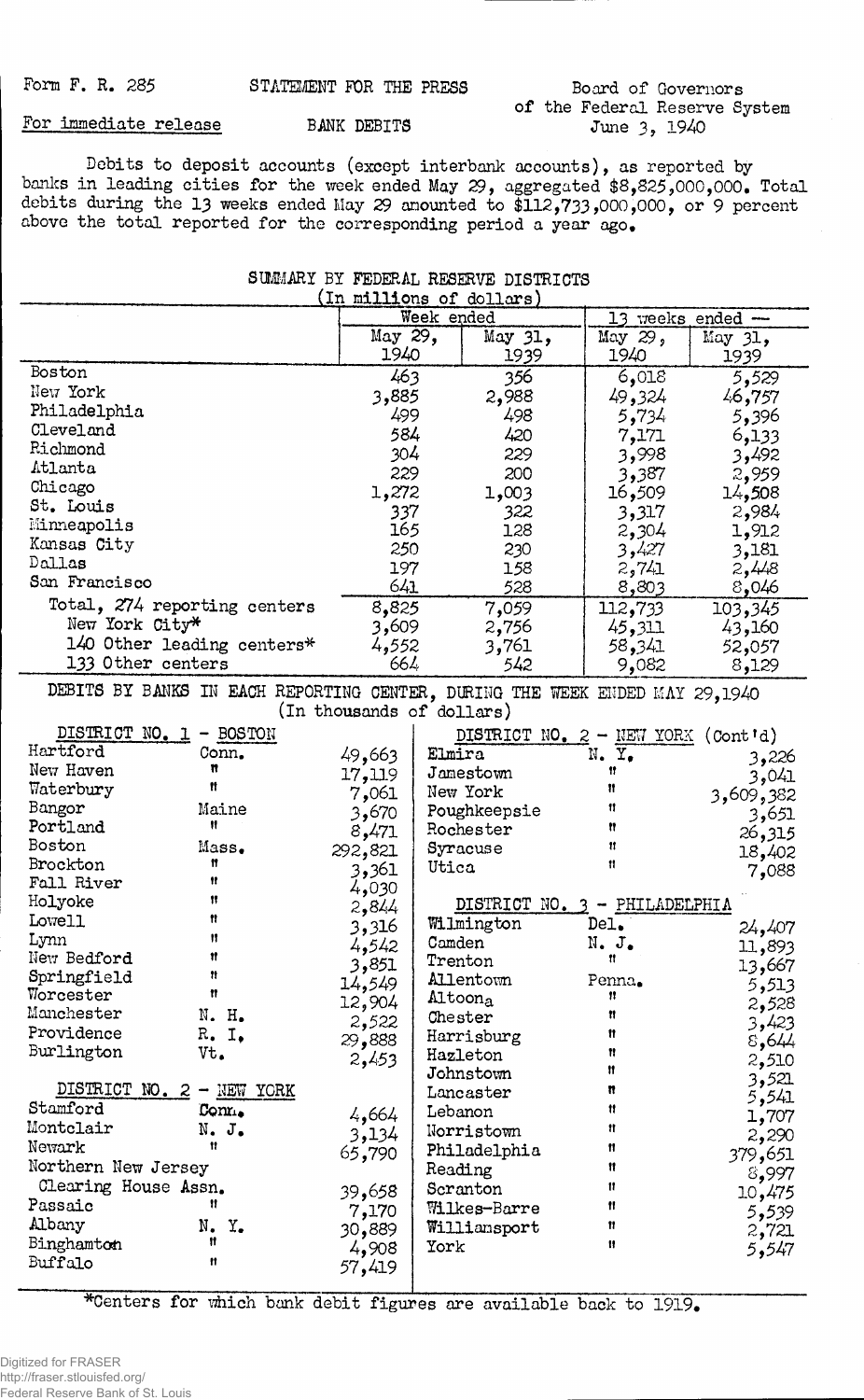## Board of Governors of the Federal Reserve System June 3, 1940

**For immediate release BANK DEBITS**

**Debits to deposit accounts (except interbank accounts), as reported by banks in leading cities for the week ended May 29, aggregated \$**8**,825^,000,000. Total debits during the** 13 **weeks ended May 29 amounted to \$112,733,000,000, or 9 percent** above the total reported for the corresponding period a year ago.

| SUMMARY BY FEDERAL RESERVE DISTRICTS                                        |                              |                           |                               |                 |                                             |                  |  |
|-----------------------------------------------------------------------------|------------------------------|---------------------------|-------------------------------|-----------------|---------------------------------------------|------------------|--|
| (In millions of dollars)                                                    |                              |                           |                               |                 |                                             |                  |  |
|                                                                             |                              |                           | Week ended                    |                 |                                             | 13 weeks ended - |  |
|                                                                             |                              | May 29,<br>1940           |                               | May 31,<br>1939 | May 29,<br>1940                             | May 31,<br>1939  |  |
| Boston                                                                      |                              | 463                       |                               | 356             | 6,018                                       | 5,529            |  |
| New York                                                                    |                              | 3,885                     |                               | 2,988           | 49,324                                      | 46,757           |  |
| Philadelphia                                                                |                              | 499                       |                               | 498             | 5,734                                       | 5,396            |  |
| Cleveland                                                                   |                              | 584                       |                               | 420             | 7,171                                       | 6,133            |  |
| Richmond                                                                    |                              | $304^{\circ}$             |                               | 229             | 3,998                                       |                  |  |
| Atlanta                                                                     |                              | 229                       |                               |                 |                                             | 3,492            |  |
| Chicago                                                                     |                              |                           |                               | 200             | 3,387                                       | 2,959            |  |
| St. Louis                                                                   |                              | 1,272                     |                               | 1,003           | 16,509                                      | 14,508           |  |
| Minneapolis                                                                 |                              | 337                       |                               | 322             | 3,317                                       | 2,984            |  |
| Kansas City                                                                 |                              | 165                       |                               | 128             | 2,304                                       | 1,912            |  |
| Dallas                                                                      |                              | 250                       |                               | 230             | 3,427                                       | 3,181            |  |
| San Francisco                                                               |                              | 197                       |                               | 158             | 2,741                                       | 2,448            |  |
|                                                                             |                              | 641                       |                               | 528             | 8,803                                       | 8,046            |  |
| Total, 274 reporting centers                                                |                              | 8,825                     |                               | 7,059           | 112,733                                     | 103,345          |  |
| New York City*                                                              |                              | 3,609                     |                               | 2,756           | 45,311                                      | 43,160           |  |
| 140 Other leading centers*                                                  |                              | 4,552                     |                               | 3,761           | 58,341                                      | 52,057           |  |
| 133 Other centers                                                           |                              | 664                       |                               | 542             | 9,082                                       | 8,129            |  |
| DEBITS BY BANKS IN EACH REPORTING CENTER, DURING THE WEEK ENDED MAY 29,1940 |                              |                           |                               |                 |                                             |                  |  |
|                                                                             |                              | (In thousands of dollars) |                               |                 |                                             |                  |  |
| DISTRICT NO. 1 - BOSTON                                                     |                              |                           |                               |                 | DISTRICT NO. $2 - \text{NEW YORK}$ (Cont'd) |                  |  |
| Hartford                                                                    | Conn.                        | 49,663                    | Elmira                        |                 | N. Y <sub>e</sub>                           | 3,226            |  |
| New Haven                                                                   | n                            | 17,119                    |                               | Jamestown       | Ħ                                           | 3,041            |  |
| Waterbury                                                                   | Ħ                            | 7,061                     | New York                      |                 | Ħ                                           | 3,609,382        |  |
| Bangor                                                                      | Maine                        | 3,670                     |                               | Poughkeepsie    | 11                                          | 3,651            |  |
| Portland                                                                    | Ħ                            | 8,471                     |                               | Rochester       | Ħ                                           | 26,315           |  |
| Boston                                                                      | Mass.                        | 292,821                   | Syracuse                      |                 | Ħ                                           | 18,402           |  |
| Brockton                                                                    | Ħ                            | 3,361                     | Utica                         |                 | Ħ                                           | 7,088            |  |
| Fall River                                                                  | Ħ                            | 4,030                     |                               |                 |                                             |                  |  |
| Holyoke                                                                     | Ħ                            | 2,844                     | DISTRICT NO. 3 - PHILADELPHIA |                 |                                             |                  |  |
| Lowell                                                                      | 11                           | 3,316                     |                               | Wilmington      | Del.                                        | 24,407           |  |
| Lynn                                                                        | Ħ                            | 4,542                     | Camden                        |                 | $N_{\bullet}$ $J_{\bullet}$                 | 11,893           |  |
| New Bedford                                                                 | Ħ                            | 3,851                     | Trenton                       |                 | Ħ.                                          | 13,667           |  |
| Springfield                                                                 | Ħ                            | 14,549                    |                               | Allentown       | Penna.                                      |                  |  |
| Worcester                                                                   | 11                           | 12,904                    | Altoona                       |                 | 8                                           | 5,513            |  |
| Manchester                                                                  | N. H.                        | 2,522                     | Chester                       |                 | Ħ                                           | 2,528            |  |
| Providence                                                                  | R. I.                        | 29,888                    |                               | Harrisburg      | Ħ                                           | 3,423<br>8,644   |  |
| Burlington                                                                  | Vt.                          | 2,453                     | Hazleton                      |                 | Ħ                                           |                  |  |
|                                                                             |                              |                           |                               | Johnstown       | Ħ                                           | 2,510<br>3,521   |  |
| DISTRICT NO. 2 - NEW YORK                                                   |                              |                           |                               | Lancaster       | n                                           | 5,541            |  |
| Stamford                                                                    | Con <sub>t</sub>             | 4,664                     | Lebanon                       |                 | 11                                          | 1,707            |  |
| Montclair                                                                   | N. J.                        | 3,134                     |                               | Norristown      | Ħ                                           | 2,290            |  |
| Newark                                                                      | 11                           | 65,790                    |                               | Philadelphia    | Ħ                                           | 379,651          |  |
| Northern New Jersey                                                         |                              |                           | Reading                       |                 | Ħ                                           | 8,997            |  |
| Clearing House Assn.                                                        |                              | 39,658                    | Scranton                      |                 | 11                                          | 10,475           |  |
| Passaic                                                                     | "                            | 7,170                     |                               | Wilkes-Barre    | Ħ                                           | 5,539            |  |
| Albany                                                                      | N.<br>$\mathbf{Y}_{\bullet}$ | 889و30                    |                               | Williansport    | Ħ                                           | 2,721            |  |
| Binghamton                                                                  | 11                           | 4,908                     | York                          |                 | 11                                          | 5,547            |  |
| Buffalo                                                                     | Ħ                            | 57,419                    |                               |                 |                                             |                  |  |
|                                                                             |                              |                           |                               |                 |                                             |                  |  |

\*Centers for which bank debit figures are available back to 1919.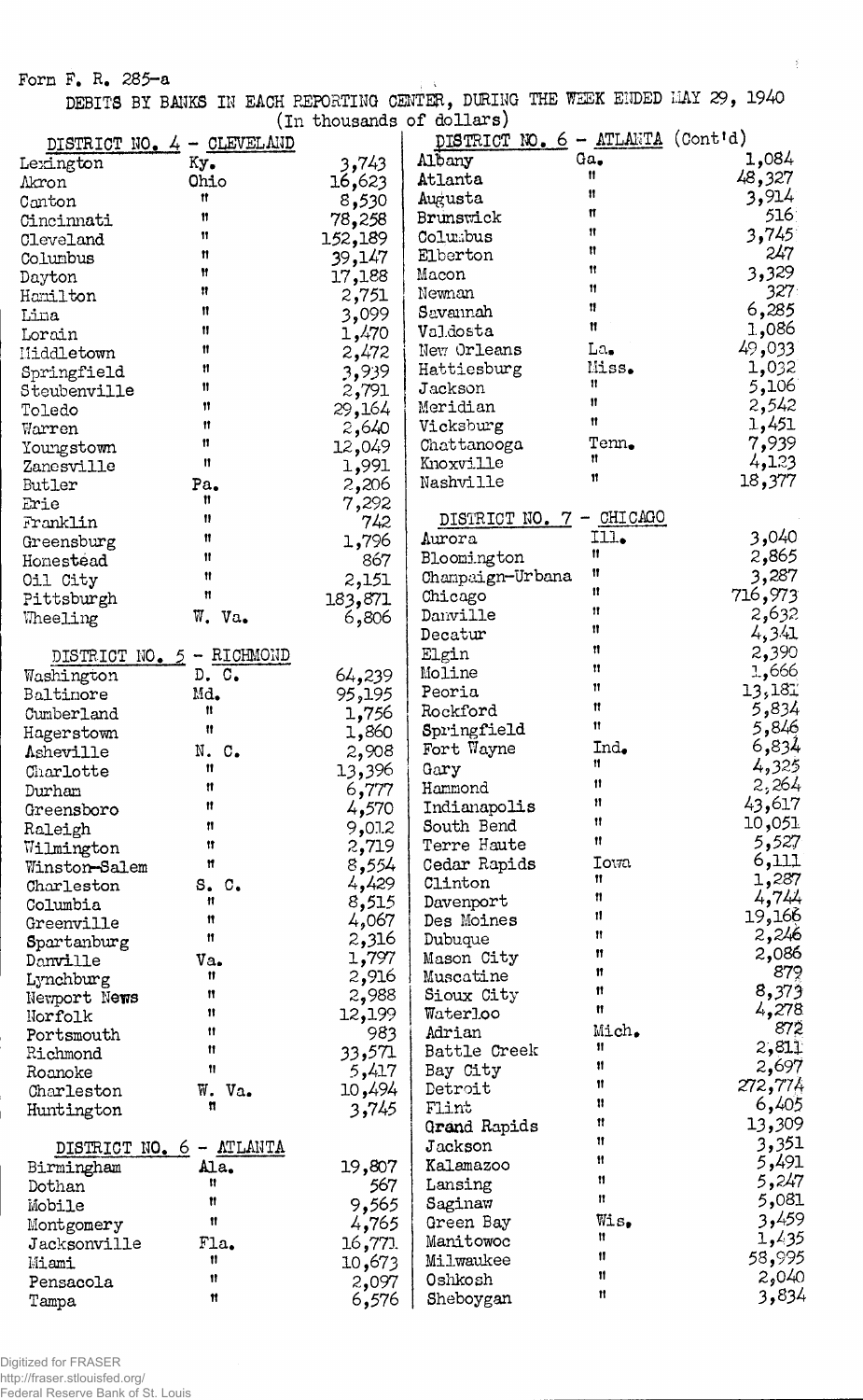Form  $F_a$ ,  $R_a$ , 285-a ; variation of  $\mathbb{R}^2$  ; variation of  $\mathbb{R}^2$  ; variation of  $\mathbb{R}^2$  ; variation of  $\mathbb{R}^2$  ; variation of  $\mathbb{R}^2$  ; variation of  $\mathbb{R}^2$  ; variation of  $\mathbb{R}^2$  ; variation of

**DEBITS BY BANKS IK EACH REPORTING CENTER, DURING THE WEEK ENDED IIAY 29, 1940 (In thousands of dollars)**

 $\mathbb{E}$ 

|                            |           |         | (TII ningdimp of matra m)<br>DISTRICT NO. 6 - ATLANTA |              | $($ Cont <sup>t</sup> d) |
|----------------------------|-----------|---------|-------------------------------------------------------|--------------|--------------------------|
| DISTRICT NO. 4 - CLEVELAND |           |         | Albany                                                | Ga.          | 1,084                    |
| Lexington                  | Ky.       | 3,743   | Atlanta                                               | Ħ            | 48,327                   |
| Akron                      | Ohio<br>Ħ | 16,623  |                                                       | 11           | 3,914                    |
| Canton                     | Ħ         | 8,530   | Augusta<br>Brunswick                                  | π            | 516                      |
| Cincinnati                 | 11        | 78,258  | Columbus                                              | 11           | 3,745                    |
| Cleveland                  | Ħ         | 152,189 |                                                       | n            | 247                      |
| Columbus                   | Ħ         | 39,147  | Elberton                                              | 11           | 3,329                    |
| Dayton                     | Ħ         | 17,188  | Macon                                                 | 11           | 327.                     |
| Hamilton                   | Ħ         | 2,751   | Newnan                                                | 11           | 6,285                    |
| Lina                       |           | 3,099   | Savannah                                              | Ħ            | 1,086                    |
| Lorain                     | Ħ         | 1,470   | Valdosta                                              |              |                          |
| Middletown                 | Ħ         | 2,472   | New Orleans                                           | La,          | 49,033                   |
| Springfield                | 11        | 3,939   | Hattiesburg                                           | Miss.<br>11  | 1,032                    |
| Steubenville               | Ħ         | 2,791   | Jackson                                               | $\mathbf{H}$ | 5,106                    |
| Toledo                     | Ħ         | 29,164  | Meridian                                              | 11           | 2,542                    |
| Warren                     | Ħ         | 2,640   | Vicksburg                                             |              | 1,451                    |
| Youngstown                 | n         | 12,049  | Chattanooga                                           | Tenn.<br>n   | 7,939                    |
| Zanesville                 | Ħ         | 1,991   | Knoxville                                             | 11           | 4,123                    |
| Butler                     | Pa.       | 2,206   | Nashville                                             |              | 18,377                   |
| Erie                       | Ħ         | 7,292   |                                                       |              |                          |
| Franklin                   | 11        | 742     | DISTRICT NO. 7 - CHICAGO                              |              |                          |
| Greensburg                 | Ħ         | 1,796   | Aurora                                                | Ill.         | 3,040                    |
| Homestead                  | Ħ         | 867     | Bloomington                                           | Ħ            | 2,865                    |
| Oil City                   | Ħ         | 2,151   | Champaign-Urbana                                      | Ħ            | 3,287                    |
| Pittsburgh                 | n         | 183,871 | Chicago                                               | n            | 716,973                  |
| Wheeling                   | W. Va.    | 6,806   | Danville                                              | Ħ            | 2,632                    |
|                            |           |         | Decatur                                               | n            | 4,341                    |
| DISTRICT NO. 5 - RICHMOND  |           |         | Elgin                                                 | Ħ            | 2,390                    |
| Washington                 | D.C.      | 64,239  | Moline                                                | Ħ            | 1,666                    |
| Baltinore                  | Md.       | 95,195  | Peoria                                                | Ħ            | 13,181                   |
| Cumberland                 | 11        | 1,756   | Rockford                                              | Ħ            | 5,834                    |
| Hagerstown                 | Ħ         | 1,860   | Springfield                                           | 11           | 5,846                    |
| Asheville                  | N. C.     | 2,908   | Fort Wayne                                            | Ind.         | 6,834                    |
| Charlotte                  | Ħ         | 13,396  | Gary                                                  | Ħ            | 4,325                    |
| Durham                     | n         | 6,777   | Hammond                                               | 11           | 2,264                    |
| Greensboro                 | Ħ         | 4,570   | Indianapolis                                          | Ħ            | 43,617                   |
| Raleigh                    | Ħ         | 9,0.1.2 | South Bend                                            | 11           | 10,051                   |
| Wilmington                 | Ħ         | 2,719   | Terre Haute                                           | 11           | 5,527                    |
| Winston-Salem              | Ħ         | 8,554   | Cedar Rapids                                          | <b>Iowa</b>  | 6,111                    |
| Charleston                 | S. C.     | 4,429   | Clinton                                               | Ħ            | 1,287                    |
| Columbia                   | Ħ         | 8,515   | Davenport                                             | n            | 4,744                    |
| Greenville                 | Ħ         | 4,067   | Des Moines                                            | 11           | 19,166                   |
| Spartanburg                | Ħ         | 2,316   | Dubuque                                               | 11           | 2,246                    |
| Danville                   | Va.       | 1,797   | Mason City                                            | Ħ            | 2,086                    |
| Lynchburg                  | Ħ         | 2,916   | Muscatine                                             | Ħ            | 879                      |
| Newport News               | Ħ         | 2,988   | Sioux City                                            | Ħ            | 8,373                    |
| Norfolk                    | 11        | 12,199  | Waterloo                                              | Ħ            | 4,278                    |
| Portsmouth                 | Ħ         | 983     | Adrian                                                | Mich.        | 872                      |
| Richmond                   | Ħ         | 33,571  | Battle Creek                                          | 11.          | 2,811                    |
| Roanoke                    | Ħ         | 5,417   | Bay City                                              | 11           | 2,697                    |
| Charleston                 | W.<br>Va. | 10,494  | Detroit                                               | Ħ            | 272,774                  |
| Huntington                 | n         | 3,745   | Flint                                                 | Ħ            | 6,405                    |
|                            |           |         | Grand Rapids                                          | 11           | 13,309                   |
| DISTRICT NO. 6 - ATLANTA   |           |         | Jackson                                               | 11           | 3,351                    |
| Birmingham                 | Ala.      | 19,807  | Kalamazoo                                             | Ħ            | 5,491                    |
| Dothan                     | n         | 567     | Lansing                                               | Ħ            | 5,247                    |
| Mobile                     | Ħ         | 9,565   | Saginaw                                               | 11           | 5,081                    |
| Montgomery                 | Ħ         | 4,765   | Green Bay                                             | $W$ is,      | 3,459                    |
| Jacksonville               | $F1a$ .   | 16,771  | Manitowoc                                             | Ħ            | 1,435                    |
| Miami                      | 11        | 10,673  | Milwaukee                                             | 11           | 58,995                   |
|                            | 11        |         | Oshkosh                                               | Ħ            | 2,040                    |
| Pensacola                  | Ħ         | 2,097   | Sheboygan                                             | Ħ            | 3,834                    |
| Tampa                      |           | 6,576   |                                                       |              |                          |